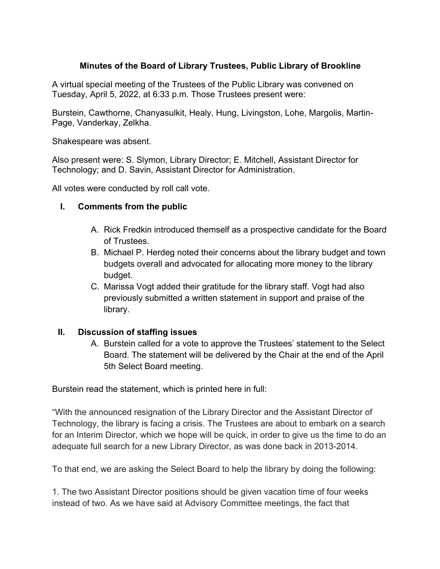## **Minutes of the Board of Library Trustees, Public Library of Brookline**

A virtual special meeting of the Trustees of the Public Library was convened on Tuesday, April 5, 2022, at 6:33 p.m. Those Trustees present were:

Burstein, Cawthorne, Chanyasulkit, Healy, Hung, Livingston, Lohe, Margolis, Martin-Page, Vanderkay, Zelkha.

Shakespeare was absent.

Also present were: S. Slymon, Library Director; E. Mitchell, Assistant Director for Technology; and D. Savin, Assistant Director for Administration.

All votes were conducted by roll call vote.

## **I. Comments from the public**

- A. Rick Fredkin introduced themself as a prospective candidate for the Board of Trustees.
- B. Michael P. Herdeg noted their concerns about the library budget and town budgets overall and advocated for allocating more money to the library budget.
- C. Marissa Vogt added their gratitude for the library staff. Vogt had also previously submitted a written statement in support and praise of the library.

## **II. Discussion of staffing issues**

A. Burstein called for a vote to approve the Trustees' statement to the Select Board. The statement will be delivered by the Chair at the end of the April 5th Select Board meeting.

Burstein read the statement, which is printed here in full:

"With the announced resignation of the Library Director and the Assistant Director of Technology, the library is facing a crisis. The Trustees are about to embark on a search for an Interim Director, which we hope will be quick, in order to give us the time to do an adequate full search for a new Library Director, as was done back in 2013-2014.

To that end, we are asking the Select Board to help the library by doing the following:

1. The two Assistant Director positions should be given vacation time of four weeks instead of two. As we have said at Advisory Committee meetings, the fact that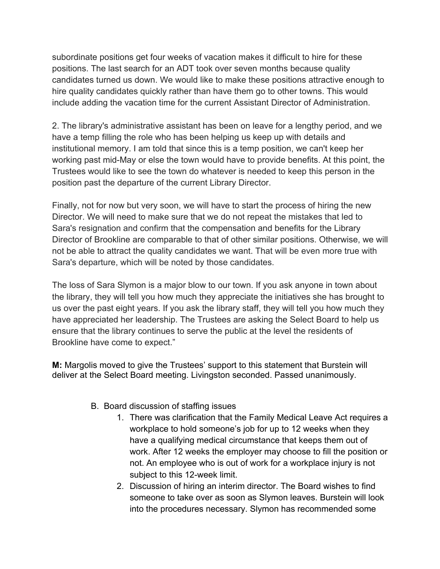subordinate positions get four weeks of vacation makes it difficult to hire for these positions. The last search for an ADT took over seven months because quality candidates turned us down. We would like to make these positions attractive enough to hire quality candidates quickly rather than have them go to other towns. This would include adding the vacation time for the current Assistant Director of Administration.

2. The library's administrative assistant has been on leave for a lengthy period, and we have a temp filling the role who has been helping us keep up with details and institutional memory. I am told that since this is a temp position, we can't keep her working past mid-May or else the town would have to provide benefits. At this point, the Trustees would like to see the town do whatever is needed to keep this person in the position past the departure of the current Library Director.

Finally, not for now but very soon, we will have to start the process of hiring the new Director. We will need to make sure that we do not repeat the mistakes that led to Sara's resignation and confirm that the compensation and benefits for the Library Director of Brookline are comparable to that of other similar positions. Otherwise, we will not be able to attract the quality candidates we want. That will be even more true with Sara's departure, which will be noted by those candidates.

The loss of Sara Slymon is a major blow to our town. If you ask anyone in town about the library, they will tell you how much they appreciate the initiatives she has brought to us over the past eight years. If you ask the library staff, they will tell you how much they have appreciated her leadership. The Trustees are asking the Select Board to help us ensure that the library continues to serve the public at the level the residents of Brookline have come to expect."

**M:** Margolis moved to give the Trustees' support to this statement that Burstein will deliver at the Select Board meeting. Livingston seconded. Passed unanimously.

- B. Board discussion of staffing issues
	- 1. There was clarification that the Family Medical Leave Act requires a workplace to hold someone's job for up to 12 weeks when they have a qualifying medical circumstance that keeps them out of work. After 12 weeks the employer may choose to fill the position or not. An employee who is out of work for a workplace injury is not subject to this 12-week limit.
	- 2. Discussion of hiring an interim director. The Board wishes to find someone to take over as soon as Slymon leaves. Burstein will look into the procedures necessary. Slymon has recommended some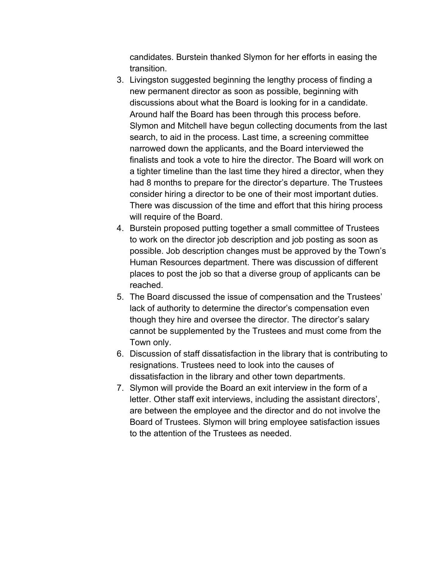candidates. Burstein thanked Slymon for her efforts in easing the transition.

- 3. Livingston suggested beginning the lengthy process of finding a new permanent director as soon as possible, beginning with discussions about what the Board is looking for in a candidate. Around half the Board has been through this process before. Slymon and Mitchell have begun collecting documents from the last search, to aid in the process. Last time, a screening committee narrowed down the applicants, and the Board interviewed the finalists and took a vote to hire the director. The Board will work on a tighter timeline than the last time they hired a director, when they had 8 months to prepare for the director's departure. The Trustees consider hiring a director to be one of their most important duties. There was discussion of the time and effort that this hiring process will require of the Board.
- 4. Burstein proposed putting together a small committee of Trustees to work on the director job description and job posting as soon as possible. Job description changes must be approved by the Town's Human Resources department. There was discussion of different places to post the job so that a diverse group of applicants can be reached.
- 5. The Board discussed the issue of compensation and the Trustees' lack of authority to determine the director's compensation even though they hire and oversee the director. The director's salary cannot be supplemented by the Trustees and must come from the Town only.
- 6. Discussion of staff dissatisfaction in the library that is contributing to resignations. Trustees need to look into the causes of dissatisfaction in the library and other town departments.
- 7. Slymon will provide the Board an exit interview in the form of a letter. Other staff exit interviews, including the assistant directors', are between the employee and the director and do not involve the Board of Trustees. Slymon will bring employee satisfaction issues to the attention of the Trustees as needed.